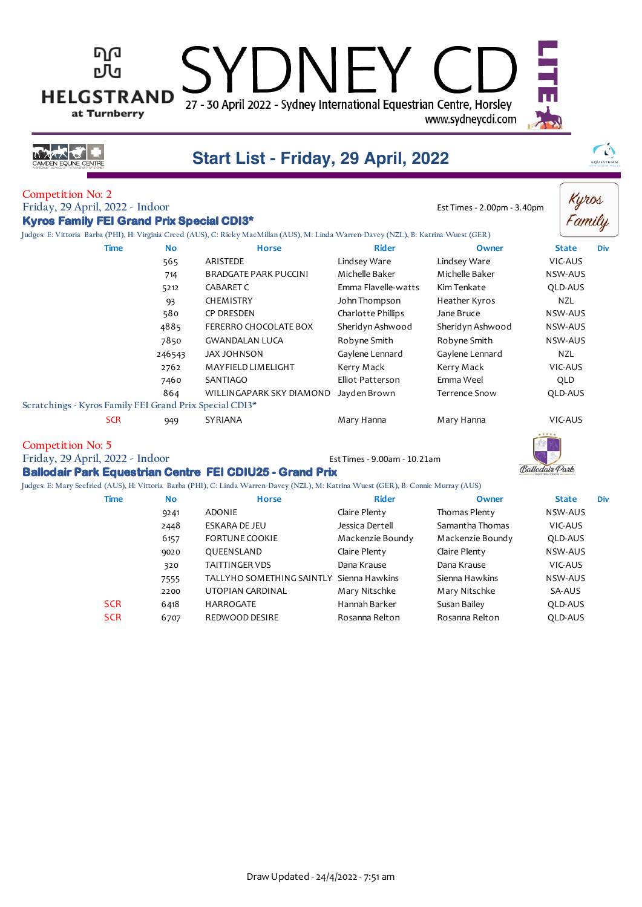| <b>HELGSTRAND</b><br><b>DEN EQUINE CENTRE</b>                                                            | ъЛ<br>at Turnberry |           | 27 - 30 April 2022 - Sydney International Equestrian Centre, Horsley<br>Start List - Friday, 29 April, 2022                             |                              | www.sydneycdi.com           |                | EQUESTRIAN      |
|----------------------------------------------------------------------------------------------------------|--------------------|-----------|-----------------------------------------------------------------------------------------------------------------------------------------|------------------------------|-----------------------------|----------------|-----------------|
| <b>Competition No: 2</b><br>Friday, 29 April, 2022 - Indoor<br>Kyros Family FEI Grand Prix Special CDI3* |                    |           | Judges: E: Vittoria Barba (PHI), H: Virginia Creed (AUS), C: Ricky MacMillan (AUS), M: Linda Warren-Davey (NZL), B: Katrina Wuest (GER) |                              | Est Times - 2.00pm - 3.40pm |                | Kyros<br>Family |
|                                                                                                          | <b>Time</b>        | <b>No</b> | <b>Horse</b>                                                                                                                            | <b>Rider</b>                 | Owner                       | <b>State</b>   | Div             |
|                                                                                                          |                    | 565       | ARISTEDE                                                                                                                                | Lindsey Ware                 | Lindsey Ware                | VIC-AUS        |                 |
|                                                                                                          |                    | 714       | <b>BRADGATE PARK PUCCINI</b>                                                                                                            | Michelle Baker               | Michelle Baker              | NSW-AUS        |                 |
|                                                                                                          |                    | 5212      | <b>CABARET C</b>                                                                                                                        | Emma Flavelle-watts          | Kim Tenkate                 | QLD-AUS        |                 |
|                                                                                                          |                    | 93        | <b>CHEMISTRY</b>                                                                                                                        | John Thompson                | Heather Kyros               | NZL            |                 |
|                                                                                                          |                    | 580       | <b>CP DRESDEN</b>                                                                                                                       | Charlotte Phillips           | Jane Bruce                  | NSW-AUS        |                 |
|                                                                                                          |                    | 4885      | FERERRO CHOCOLATE BOX                                                                                                                   | Sheridyn Ashwood             | Sheridyn Ashwood            | NSW-AUS        |                 |
|                                                                                                          |                    | 7850      | <b>GWANDALAN LUCA</b>                                                                                                                   | Robyne Smith                 | Robyne Smith                | NSW-AUS        |                 |
|                                                                                                          |                    | 246543    | <b>JAX JOHNSON</b>                                                                                                                      | Gaylene Lennard              | Gaylene Lennard             | <b>NZL</b>     |                 |
|                                                                                                          |                    | 2762      | MAYFIELD LIMELIGHT                                                                                                                      | Kerry Mack                   | Kerry Mack                  | VIC-AUS        |                 |
|                                                                                                          |                    | 7460      | SANTIAGO                                                                                                                                | Elliot Patterson             | Emma Weel                   | QLD            |                 |
|                                                                                                          |                    | 864       | WILLINGAPARK SKY DIAMOND                                                                                                                | Jayden Brown                 | <b>Terrence Snow</b>        | QLD-AUS        |                 |
| Scratchings - Kyros Family FEI Grand Prix Special CDI3*                                                  |                    |           |                                                                                                                                         |                              |                             |                |                 |
|                                                                                                          | <b>SCR</b>         | 949       | <b>SYRIANA</b>                                                                                                                          | Mary Hanna                   | Mary Hanna                  | VIC-AUS        |                 |
| <b>Competition No: 5</b><br>Friday, 29 April, 2022 - Indoor                                              |                    |           | <b>Ballodair Park Equestrian Centre FEI CDIU25 - Grand Prix</b>                                                                         | Est Times - 9.00am - 10.21am |                             | Ballodair Park |                 |
|                                                                                                          |                    |           | Judges: E: Mary Seefried (AUS), H: Vittoria Barba (PHI), C: Linda Warren-Davey (NZL), M: Katrina Wuest (GER), B: Connie Murray (AUS)    |                              |                             |                |                 |
|                                                                                                          | <b>Time</b>        | <b>No</b> | <b>Horse</b>                                                                                                                            | <b>Rider</b>                 | Owner                       | <b>State</b>   | <b>Div</b>      |
|                                                                                                          |                    | 9241      | <b>ADONIE</b>                                                                                                                           | Claire Plenty                | Thomas Plenty               | <b>NSW-AUS</b> |                 |
|                                                                                                          |                    | 2448      | <b>ESKARA DE JEU</b>                                                                                                                    | Jessica Dertell              | Samantha Thomas             | VIC-AUS        |                 |

6157 FORTUNE COOKIE Mackenzie Boundy Mackenzie Boundy QLD-AUS<br>9020 QUEENSLAND Claire Plenty Claire Plenty Claire Plenty 9020 QUEENSLAND Claire Plenty Claire Plenty NSW-AUS 320 TAITTINGER VDS Dana Krause Dana Krause VIC-AUS 7555 TALLYHO SOMETHING SAINTLY Sienna Hawkins Sienna Hawkins NSW-AUS 2200 UTOPIAN CARDINAL Mary Nitschke Mary Nitschke SA-AUS

SCR 6418 HARROGATE Hannah Barker Susan Bailey QLD-AUS SCR 6707 REDWOOD DESIRE Rosanna Relton Rosanna Relton QLD-AUS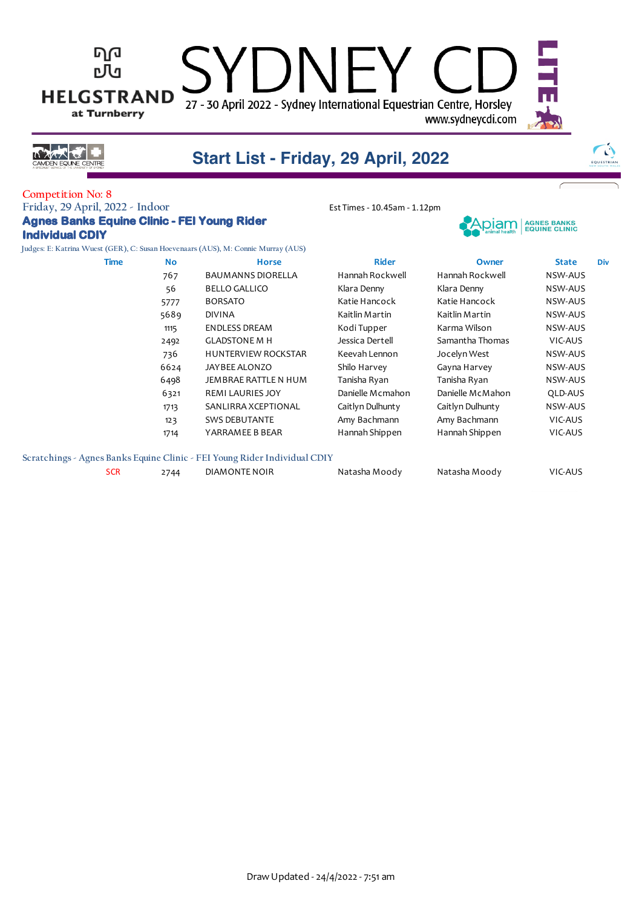#### ካወ  $\bigcup$ N $\bigcap$ гЛч **HELGSTRAND** 27 - 30 April 2022 - Sydney International Equestrian Centre, Horsley at Turnberry www.sydneycdi.com



## **Start List - Friday, 29 April, 2022**

### **Competition No: 8**

### **Friday, 29 April, 2022 - Indoor** Est Times - 10.45am - 1.12pm **Agnes Banks Equine Clinic - FEI Young Rider Individual CDIY**

**Judges: E: Katrina Wuest (GER), C: Susan Hoevenaars (AUS), M: Connie Murray (AUS)**

| Time | <b>No</b> | <b>Horse</b>               | <b>Rider</b>     | Owner            | <b>State</b> | Div |
|------|-----------|----------------------------|------------------|------------------|--------------|-----|
|      | 767       | <b>BAUMANNS DIORELLA</b>   | Hannah Rockwell  | Hannah Rockwell  | NSW-AUS      |     |
|      | 56        | <b>BELLO GALLICO</b>       | Klara Denny      | Klara Denny      | NSW-AUS      |     |
|      | 5777      | <b>BORSATO</b>             | Katie Hancock    | Katie Hancock    | NSW-AUS      |     |
|      | 5689      | <b>DIVINA</b>              | Kaitlin Martin   | Kaitlin Martin   | NSW-AUS      |     |
|      | 1115      | <b>ENDLESS DREAM</b>       | Kodi Tupper      | Karma Wilson     | NSW-AUS      |     |
|      | 2492      | <b>GLADSTONE M H</b>       | Jessica Dertell  | Samantha Thomas  | VIC-AUS      |     |
|      | 736       | <b>HUNTERVIEW ROCKSTAR</b> | Keevah Lennon    | Jocelyn West     | NSW-AUS      |     |
|      | 6624      | JAYBEE ALONZO              | Shilo Harvey     | Gayna Harvey     | NSW-AUS      |     |
|      | 6498      | JEMBRAE RATTLE N HUM       | Tanisha Ryan     | Tanisha Ryan     | NSW-AUS      |     |
|      | 6321      | <b>REMI LAURIES JOY</b>    | Danielle Mcmahon | Danielle McMahon | QLD-AUS      |     |
|      | 1713      | SANLIRRA XCEPTIONAL        | Caitlyn Dulhunty | Caitlyn Dulhunty | NSW-AUS      |     |
|      | 123       | <b>SWS DEBUTANTE</b>       | Amy Bachmann     | Amy Bachmann     | VIC-AUS      |     |
|      | 1714      | YARRAMEE B BEAR            | Hannah Shippen   | Hannah Shippen   | VIC-AUS      |     |
|      |           |                            |                  |                  |              |     |



.piam l

| No  | <b>Horse</b>                             | <b>Rider</b>     | <b>Owner</b>     | <b>State</b> | Di |
|-----|------------------------------------------|------------------|------------------|--------------|----|
| 167 | <b>BAUMANNS DIORELLA</b>                 | Hannah Rockwell  | Hannah Rockwell  | NSW-AUS      |    |
| 56  | <b>BELLO GALLICO</b>                     | Klara Denny      | Klara Denny      | NSW-AUS      |    |
| 777 | <b>BORSATO</b>                           | Katie Hancock    | Katie Hancock    | NSW-AUS      |    |
| 689 | <b>DIVINA</b>                            | Kaitlin Martin   | Kaitlin Martin   | NSW-AUS      |    |
| 115 | <b>ENDLESS DREAM</b>                     | Kodi Tupper      | Karma Wilson     | NSW-AUS      |    |
| 492 | <b>GLADSTONE M H</b>                     | Jessica Dertell  | Samantha Thomas  | VIC-AUS      |    |
| 736 | <b>HUNTERVIEW ROCKSTAR</b>               | Keevah Lennon    | Jocelyn West     | NSW-AUS      |    |
| 624 | JAYBEE ALONZO                            | Shilo Harvey     | Gayna Harvey     | NSW-AUS      |    |
| 498 | JEMBRAE RATTLE N HUM                     | Tanisha Ryan     | Tanisha Ryan     | NSW-AUS      |    |
| 321 | <b>REMI LAURIES JOY</b>                  | Danielle Mcmahon | Danielle McMahon | QLD-AUS      |    |
| 713 | SANLIRRA XCEPTIONAL                      | Caitlyn Dulhunty | Caitlyn Dulhunty | NSW-AUS      |    |
| 123 | <b>SWS DEBUTANTE</b>                     | Amy Bachmann     | Amy Bachmann     | VIC-AUS      |    |
| 714 | YARRAMEE B BEAR                          | Hannah Shippen   | Hannah Shippen   | VIC-AUS      |    |
|     |                                          |                  |                  |              |    |
|     | Clinic - FEI Young Rider Individual CDIY |                  |                  |              |    |
| 744 | DIAMONTE NOIR                            | Natasha Moody    | Natasha Moody    | VIC-AUS      |    |
|     |                                          |                  |                  |              |    |

#### **Scratchings - Agnes Banks Equine Clinic - FEI Young Rider Individual CDIY**

SCR 2744 DIAMONTE NOIR Natasha Moody



 $\mathcal{C}$ 

FOUESTRIA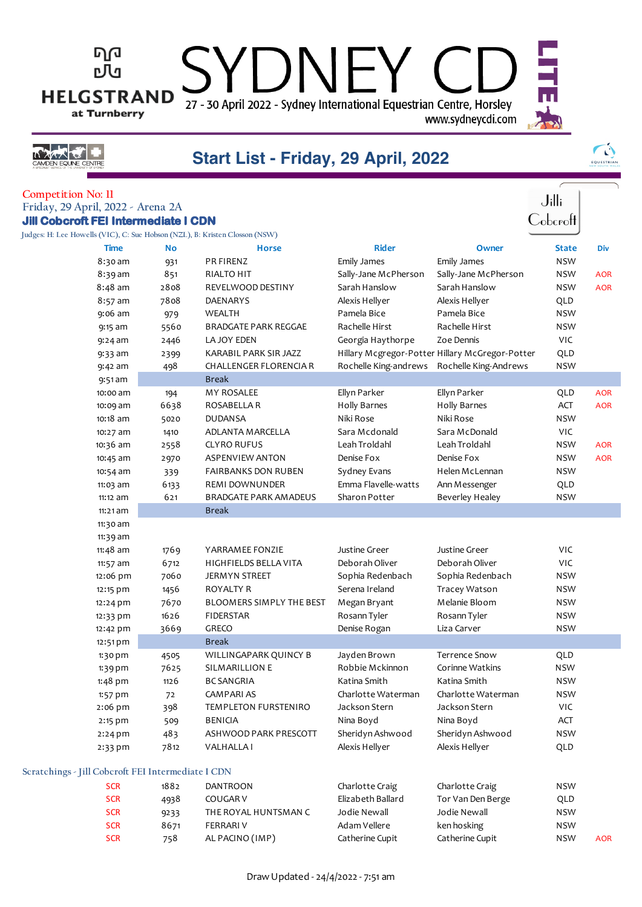27 - 30 April 2022 - Sydney International Equestrian Centre, Horsley www.sydneycdi.com

 $\vdash$ 



ካወ

**DU** 

**HELGSTRAND** 

at Turnberry

## **Start List - Friday, 29 April, 2022**

 $\Box$ 

| EQUESTRIAN |
|------------|

| <b>Competition No: 11</b><br>Friday, 29 April, 2022 - Arena 2A              |           |                                 |                                                 |                      | $J$ illi            |            |
|-----------------------------------------------------------------------------|-----------|---------------------------------|-------------------------------------------------|----------------------|---------------------|------------|
| <b>Jill Cobcroft FEI Intermediate I CDN</b>                                 |           |                                 |                                                 |                      | $\mathsf{Cobcroft}$ |            |
| Judges: H: Lee Howells (VIC), C: Sue Hobson (NZL), B: Kristen Closson (NSW) |           |                                 |                                                 |                      |                     |            |
| Time                                                                        | <b>No</b> | <b>Horse</b>                    | <b>Rider</b>                                    | Owner                | <b>State</b>        | Div        |
| 8:30 am                                                                     | 931       | PR FIRENZ                       | Emily James                                     | Emily James          | <b>NSW</b>          |            |
| 8:39 am                                                                     | 851       | <b>RIALTO HIT</b>               | Sally-Jane McPherson                            | Sally-Jane McPherson | <b>NSW</b>          | <b>AOR</b> |
| $8:48$ am                                                                   | 2808      | REVELWOOD DESTINY               | Sarah Hanslow                                   | Sarah Hanslow        | <b>NSW</b>          | <b>AOR</b> |
| 8:57 am                                                                     | 7808      | <b>DAENARYS</b>                 | Alexis Hellyer                                  | Alexis Hellyer       | QLD                 |            |
| 9:06 am                                                                     | 979       | WEALTH                          | Pamela Bice                                     | Pamela Bice          | <b>NSW</b>          |            |
| 9:15 am                                                                     | 5560      | <b>BRADGATE PARK REGGAE</b>     | Rachelle Hirst                                  | Rachelle Hirst       | <b>NSW</b>          |            |
| $9:24$ am                                                                   | 2446      | LA JOY EDEN                     | Georgia Haythorpe                               | Zoe Dennis           | VIC                 |            |
| $9:33$ am                                                                   | 2399      | KARABIL PARK SIR JAZZ           | Hillary Mcgregor-Potter Hillary McGregor-Potter |                      | QLD                 |            |
| $9:42$ am                                                                   | 498       | <b>CHALLENGER FLORENCIA R</b>   | Rochelle King-andrews Rochelle King-Andrews     |                      | <b>NSW</b>          |            |
| $9:51$ am                                                                   |           | <b>Break</b>                    |                                                 |                      |                     |            |
| 10:00 am                                                                    | 194       | MY ROSALEE                      | Ellyn Parker                                    | Ellyn Parker         | QLD                 | <b>AOR</b> |
| 10:09 am                                                                    | 6638      | ROSABELLA R                     | Holly Barnes                                    | Holly Barnes         | ACT                 | <b>AOR</b> |
| 10:18 am                                                                    | 5020      | <b>DUDANSA</b>                  | Niki Rose                                       | Niki Rose            | <b>NSW</b>          |            |
| 10:27 am                                                                    | 1410      | ADLANTA MARCELLA                | Sara Mcdonald                                   | Sara McDonald        | VIC                 |            |
| 10:36 am                                                                    | 2558      | <b>CLYRO RUFUS</b>              | Leah Troldahl                                   | Leah Troldahl        | <b>NSW</b>          | <b>AOR</b> |
| 10:45 am                                                                    | 2970      | <b>ASPENVIEW ANTON</b>          | Denise Fox                                      | Denise Fox           | <b>NSW</b>          | <b>AOR</b> |
| 10:54 am                                                                    | 339       | <b>FAIRBANKS DON RUBEN</b>      | Sydney Evans                                    | Helen McLennan       | <b>NSW</b>          |            |
| 11:03 am                                                                    | 6133      | REMI DOWNUNDER                  | Emma Flavelle-watts                             | Ann Messenger        | QLD                 |            |
| 11:12 am                                                                    | 621       | <b>BRADGATE PARK AMADEUS</b>    | Sharon Potter                                   | Beverley Healey      | <b>NSW</b>          |            |
| 11:21 am                                                                    |           | <b>Break</b>                    |                                                 |                      |                     |            |
| 11:30 am                                                                    |           |                                 |                                                 |                      |                     |            |
| 11:39 am                                                                    |           |                                 |                                                 |                      |                     |            |
| 11:48 am                                                                    | 1769      | YARRAMEE FONZIE                 | Justine Greer                                   | <b>Justine Greer</b> | VIC                 |            |
| 11:57 am                                                                    | 6712      | HIGHFIELDS BELLA VITA           | Deborah Oliver                                  | Deborah Oliver       | VIC                 |            |
| 12:06 pm                                                                    | 7060      | <b>JERMYN STREET</b>            | Sophia Redenbach                                | Sophia Redenbach     | <b>NSW</b>          |            |
| 12:15 pm                                                                    | 1456      | <b>ROYALTY R</b>                | Serena Ireland                                  | Tracey Watson        | <b>NSW</b>          |            |
| 12:24 pm                                                                    | 7670      | <b>BLOOMERS SIMPLY THE BEST</b> | Megan Bryant                                    | Melanie Bloom        | <b>NSW</b>          |            |
| 12:33 pm                                                                    | 1626      | <b>FIDERSTAR</b>                | Rosann Tyler                                    | Rosann Tyler         | <b>NSW</b>          |            |
| 12:42 pm                                                                    | 3669      | GRECO                           | Denise Rogan                                    | Liza Carver          | <b>NSW</b>          |            |
| 12:51 pm                                                                    |           | <b>Break</b>                    |                                                 |                      |                     |            |
| 1:30 pm                                                                     | 4505      | WILLINGAPARK QUINCY B           | Jayden Brown                                    | <b>Terrence Snow</b> | QLD                 |            |
| 1:39 pm                                                                     | 7625      | SILMARILLION E                  | Robbie Mckinnon                                 | Corinne Watkins      | NSW                 |            |
| $1:48$ pm                                                                   | 1126      | <b>BC SANGRIA</b>               | Katina Smith                                    | Katina Smith         | <b>NSW</b>          |            |
| $1:57$ pm                                                                   | 72        | <b>CAMPARIAS</b>                | Charlotte Waterman                              | Charlotte Waterman   | <b>NSW</b>          |            |
| 2:06 pm                                                                     | 398       | TEMPLETON FURSTENIRO            | Jackson Stern                                   | Jackson Stern        | VIC                 |            |
| 2:15 pm                                                                     | 509       | BENICIA                         | Nina Boyd                                       | Nina Boyd            | ACT                 |            |
| $2:24$ pm                                                                   | 483       | ASHWOOD PARK PRESCOTT           | Sheridyn Ashwood                                | Sheridyn Ashwood     | <b>NSW</b>          |            |
| 2:33 pm                                                                     | 7812      | <b>VALHALLAI</b>                | Alexis Hellyer                                  | Alexis Hellyer       | QLD                 |            |
| Scratchings - Jill Cobcroft FEI Intermediate I CDN                          |           |                                 |                                                 |                      |                     |            |
| <b>SCR</b>                                                                  | 1882      | <b>DANTROON</b>                 | Charlotte Craig                                 | Charlotte Craig      | <b>NSW</b>          |            |
| <b>SCR</b>                                                                  | 4938      | COUGAR V                        | Elizabeth Ballard                               | Tor Van Den Berge    | QLD                 |            |
| <b>SCR</b>                                                                  | 9233      | THE ROYAL HUNTSMAN C            | Jodie Newall                                    | Jodie Newall         | <b>NSW</b>          |            |
| <b>SCR</b>                                                                  | 8671      | <b>FERRARIV</b>                 | Adam Vellere                                    | ken hosking          | <b>NSW</b>          |            |
| <b>SCR</b>                                                                  | 758       | AL PACINO (IMP)                 | Catherine Cupit                                 | Catherine Cupit      | <b>NSW</b>          | <b>AOR</b> |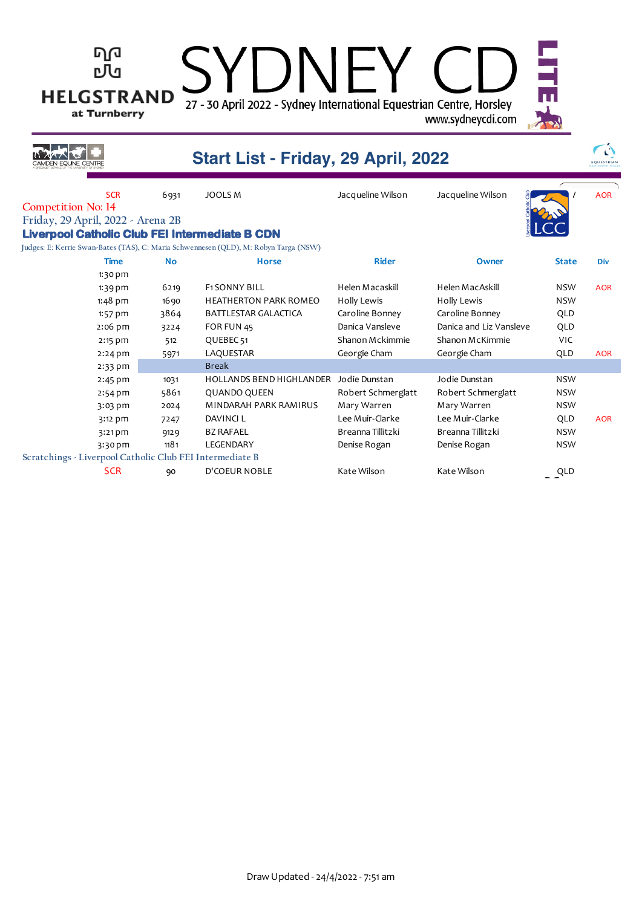#### ካበ DNFY rЛа **HELGSTRAND** 27 - 30 April 2022 - Sydney International Equestrian Centre, Horsley at Turnberry www.sydneycdi.com  $\sqrt{2}$ N **Start List - Friday, 29 April, 2022** EQUESTRIAN SCR 6931 JOOLS M Jacqueline Wilson Jacqueline Wilson  $\frac{2}{3}$  / AOR **Competition No: 14 Friday, 29 April, 2022 - Arena 2B Liverpool Catholic Club FEI Intermediate B CDN**

**Judges: E: Kerrie Swan-Bates (TAS), C: Maria Schwennesen (QLD), M: Robyn Targa (NSW)**

| <b>Time</b>                                              | <b>No</b> | <b>Horse</b>                    | <b>Rider</b>       | Owner                   | <b>State</b> | <b>Div</b> |
|----------------------------------------------------------|-----------|---------------------------------|--------------------|-------------------------|--------------|------------|
| $1:30$ pm                                                |           |                                 |                    |                         |              |            |
| $1:39$ pm                                                | 6219      | <b>F1SONNY BILL</b>             | Helen Macaskill    | Helen MacAskill         | <b>NSW</b>   | <b>AOR</b> |
| $1:48$ pm                                                | 1690      | <b>HEATHERTON PARK ROMEO</b>    | Holly Lewis        | Holly Lewis             | <b>NSW</b>   |            |
| $1:57$ pm                                                | 3864      | BATTLESTAR GALACTICA            | Caroline Bonney    | Caroline Bonney         | QLD          |            |
| $2:06$ pm                                                | 3224      | FOR FUN 45                      | Danica Vansleve    | Danica and Liz Vansleve | QLD          |            |
| $2:15$ pm                                                | 512       | QUEBEC <sub>51</sub>            | Shanon Mckimmie    | Shanon McKimmie         | <b>VIC</b>   |            |
| $2:24$ pm                                                | 5971      | LAQUESTAR                       | Georgie Cham       | Georgie Cham            | QLD          | <b>AOR</b> |
| $2:33$ pm                                                |           | <b>Break</b>                    |                    |                         |              |            |
| $2:45$ pm                                                | 1031      | <b>HOLLANDS BEND HIGHLANDER</b> | Jodie Dunstan      | Jodie Dunstan           | <b>NSW</b>   |            |
| $2:54$ pm                                                | 5861      | <b>QUANDO QUEEN</b>             | Robert Schmerglatt | Robert Schmerglatt      | <b>NSW</b>   |            |
| 3:03 pm                                                  | 2024      | MINDARAH PARK RAMIRUS           | Mary Warren        | Mary Warren             | <b>NSW</b>   |            |
| $3:12$ pm                                                | 7247      | DAVINCI L                       | Lee Muir-Clarke    | Lee Muir-Clarke         | QLD          | <b>AOR</b> |
| $3:21$ pm                                                | 9129      | <b>BZ RAFAEL</b>                | Breanna Tillitzki  | Breanna Tillitzki       | <b>NSW</b>   |            |
| 3:30 pm                                                  | 1181      | LEGENDARY                       | Denise Rogan       | Denise Rogan            | NSW          |            |
| Scratchings - Liverpool Catholic Club FEI Intermediate B |           |                                 |                    |                         |              |            |
| <b>SCR</b>                                               | 90        | <b>D'COEUR NOBLE</b>            | Kate Wilson        | Kate Wilson             | QLD          |            |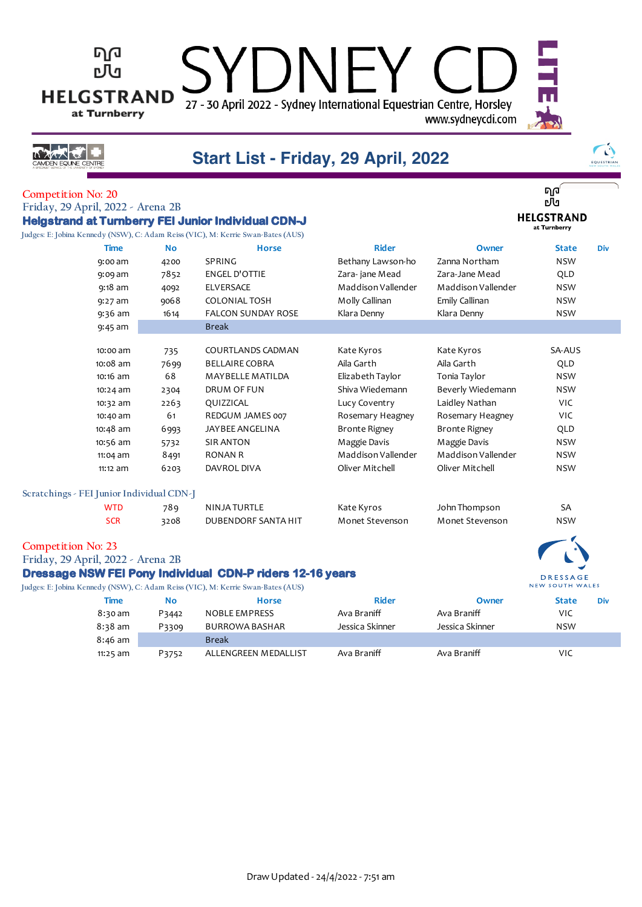27 - 30 April 2022 - Sydney International Equestrian Centre, Horsley www.sydneycdi.com

バススズゼ **N EQUINE CENTRE** 

ካወ

гЛч

**HELGSTRAND** 

at Turnberry

## **Start List - Friday, 29 April, 2022**

 $\Box$ 

 $\bigcap$ EQUESTRIAN

ባ $\mathsf{q}^\prime$ ъJч **HELGSTRAND** at Turnberry

> **DRESSAGE** NEW SOUTH WALES

**Competition No: 20 Friday, 29 April, 2022 - Arena 2B Helgstrand at Turnberry FEI Junior Individual CDN-J Judges: E: Jobina Kennedy (NSW), C: Adam Reiss (VIC), M: Kerrie Swan-Bates (AUS)**

| <b>Time</b>                               | <b>No</b> | <b>Horse</b>              | <b>Rider</b>         | Owner              | <b>State</b> | <b>Div</b> |
|-------------------------------------------|-----------|---------------------------|----------------------|--------------------|--------------|------------|
| $9:00$ am                                 | 4200      | SPRING                    | Bethany Lawson-ho    | Zanna Northam      | <b>NSW</b>   |            |
|                                           |           |                           |                      | Zara-Jane Mead     |              |            |
| 9:09 am                                   | 7852      | ENGEL D'OTTIE             | Zara-jane Mead       |                    | QLD          |            |
| $9:18$ am                                 | 4092      | ELVERSACE                 | Maddison Vallender   | Maddison Vallender | <b>NSW</b>   |            |
| $9:27$ am                                 | 9068      | <b>COLONIAL TOSH</b>      | Molly Callinan       | Emily Callinan     | <b>NSW</b>   |            |
| $9:36$ am                                 | 1614      | <b>FALCON SUNDAY ROSE</b> | Klara Denny          | Klara Denny        | <b>NSW</b>   |            |
| 9:45 am                                   |           | <b>Break</b>              |                      |                    |              |            |
|                                           |           |                           |                      |                    |              |            |
| 10:00 am                                  | 735       | COURTLANDS CADMAN         | Kate Kyros           | Kate Kyros         | SA-AUS       |            |
| 10:08 am                                  | 7699      | <b>BELLAIRE COBRA</b>     | Aila Garth           | Aila Garth         | QLD          |            |
| 10:16 am                                  | 68        | MAYBELLE MATILDA          | Elizabeth Taylor     | Tonia Taylor       | <b>NSW</b>   |            |
| $10:24$ am                                | 2304      | DRUM OF FUN               | Shiva Wiedemann      | Beverly Wiedemann  | <b>NSW</b>   |            |
| 10:32 am                                  | 2263      | QUIZZICAL                 | Lucy Coventry        | Laidley Nathan     | <b>VIC</b>   |            |
| 10:40 am                                  | 61        | REDGUM JAMES 007          | Rosemary Heagney     | Rosemary Heagney   | <b>VIC</b>   |            |
| $10:48$ am                                | 6993      | JAYBEE ANGELINA           | <b>Bronte Rigney</b> | Bronte Rigney      | QLD          |            |
| 10:56 am                                  | 5732      | <b>SIR ANTON</b>          | Maggie Davis         | Maggie Davis       | <b>NSW</b>   |            |
| $11:04$ am                                | 8491      | RONAN R                   | Maddison Vallender   | Maddison Vallender | <b>NSW</b>   |            |
| 11:12 am                                  | 6203      | DAVROL DIVA               | Oliver Mitchell      | Oliver Mitchell    | <b>NSW</b>   |            |
| Scratchings - FEI Junior Individual CDN-J |           |                           |                      |                    |              |            |
|                                           |           |                           |                      |                    |              |            |

| WTD        | 78 Q | NINJA TURTLE        | Kate Kyros      | John Thompson   | SA         |
|------------|------|---------------------|-----------------|-----------------|------------|
| <b>SCR</b> | 3208 | DUBENDORF SANTA HIT | Monet Stevenson | Monet Stevenson | <b>NSW</b> |

#### **Competition No: 23**

**Friday, 29 April, 2022 - Arena 2B**

### **Dressage NSW FEI Pony Individual CDN-P riders 12-16 years**

|                   |       | Judges: E: Jobina Kennedy (NSW), C: Adam Reiss (VIC), M: Kerrie Swan-Bates (AUS) |                 |                 | NEW SOUTH WALES |     |
|-------------------|-------|----------------------------------------------------------------------------------|-----------------|-----------------|-----------------|-----|
| Time              | No    | <b>Horse</b>                                                                     | Rider           | Owner           | <b>State</b>    | Div |
| 8:30 am           | P3442 | <b>NOBLE EMPRESS</b>                                                             | Ava Braniff     | Ava Braniff     | VIC             |     |
| $8:38 \text{ am}$ | P3309 | <b>BURROWA BASHAR</b>                                                            | Jessica Skinner | Jessica Skinner | <b>NSW</b>      |     |
| $8:46$ am         |       | <b>Break</b>                                                                     |                 |                 |                 |     |
| $11:25$ am        | P3752 | ALLENGREEN MEDALLIST                                                             | Ava Braniff     | Ava Braniff     | VIC             |     |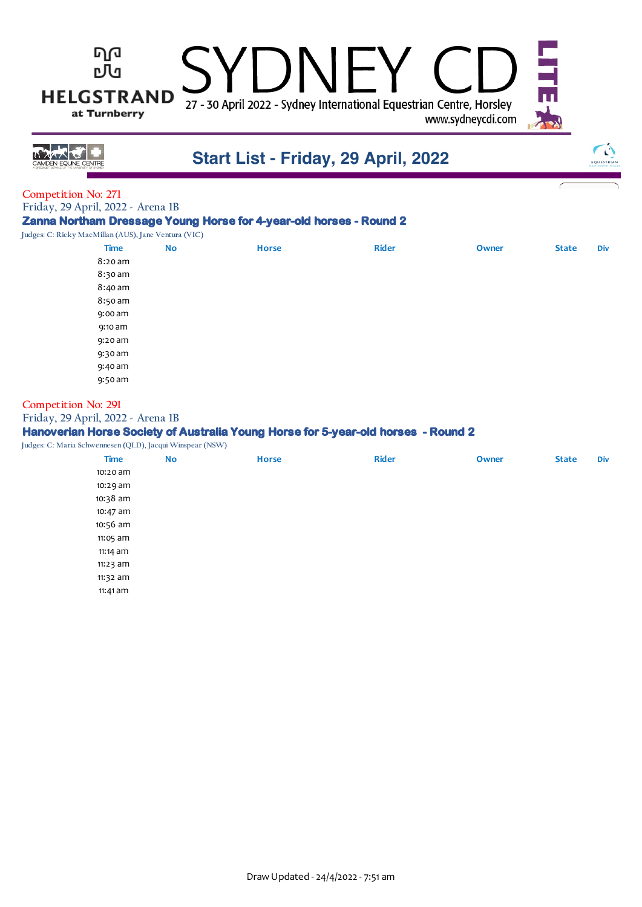#### ካወ  $JNHY$ 凹 **HELGSTRAND** 27 - 30 April 2022 - Sydney International Equestrian Centre, Horsley at Turnberry www.sydneycdi.com

バネスチ

### **Start List - Friday, 29 April, 2022**



#### **Competition No: 271**

**Friday, 29 April, 2022 - Arena 1B**

#### **Zanna Northam Dressage Young Horse for 4-year-old horses - Round 2**

**Judges: C: Ricky MacMillan (AUS), Jane Ventura (VIC)**

| <b>Time</b> | No | <b>Horse</b> | <b>Rider</b> | Owner | <b>State</b> | Div |
|-------------|----|--------------|--------------|-------|--------------|-----|
| 8:20 am     |    |              |              |       |              |     |
| 8:30 am     |    |              |              |       |              |     |
| 8:40 am     |    |              |              |       |              |     |
| 8:50 am     |    |              |              |       |              |     |
| 9:00 am     |    |              |              |       |              |     |
| 9:10 am     |    |              |              |       |              |     |
| 9:20 am     |    |              |              |       |              |     |
| 9:30 am     |    |              |              |       |              |     |
| 9:40 am     |    |              |              |       |              |     |
| 9:50 am     |    |              |              |       |              |     |
|             |    |              |              |       |              |     |

#### **Competition No: 291**

#### **Friday, 29 April, 2022 - Arena 1B**

#### **Hanoverian Horse Society of Australia Young Horse for 5-year-old horses - Round 2**

**Judges: C: Maria Schwennesen (QLD), Jacqui Winspear (NSW)**

| 10:20 am<br>10:29 am |  |
|----------------------|--|
|                      |  |
|                      |  |
| 10:38 am             |  |
| 10:47 am             |  |
| 10:56 am             |  |
| 11:05 am             |  |
| 11:14 am             |  |
| 11:23 am             |  |
| 11:32 am             |  |
| 11:41 am             |  |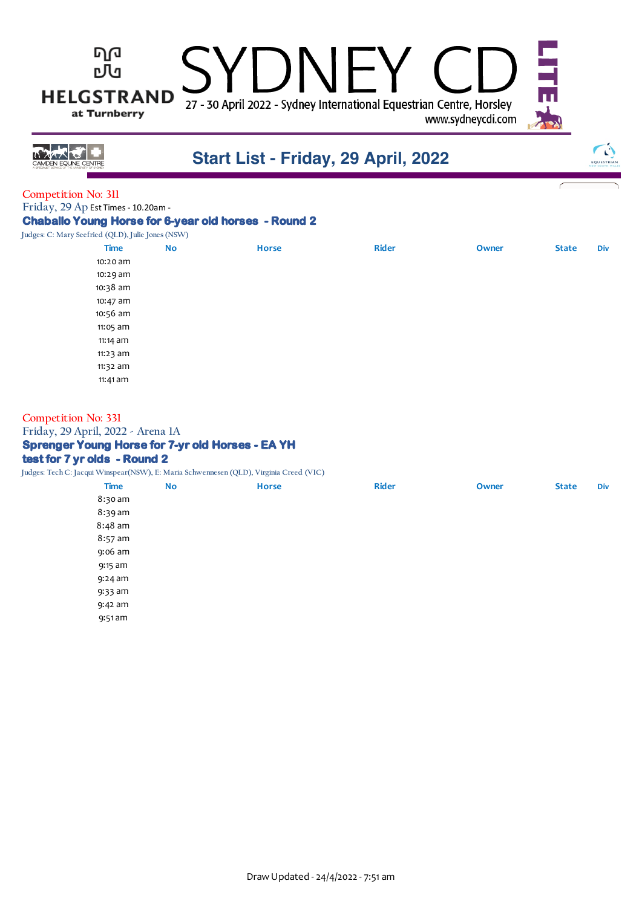# $\bigcup$ 27 - 30 April 2022 - Sydney International Equestrian Centre, Horsley

www.sydneycdi.com



## **Start List - Friday, 29 April, 2022**



#### **Competition No: 311**

Friday, 29 Ap Est Times - 10.20am -

ካወ

凹

**HELGSTRAND** 

at Turnberry

#### **Chaballo Young Horse for 6-year old horses - Round 2**

Judges: C: Mary Seefried (QLD), Julie Jones (

| Seeffled (QLD), Julie Jones (NSW) |           |              |              |       |              |            |
|-----------------------------------|-----------|--------------|--------------|-------|--------------|------------|
| <b>Time</b>                       | <b>No</b> | <b>Horse</b> | <b>Rider</b> | Owner | <b>State</b> | <b>Div</b> |
| 10:20 am                          |           |              |              |       |              |            |
| 10:29 am                          |           |              |              |       |              |            |
| 10:38 am                          |           |              |              |       |              |            |
| 10:47 am                          |           |              |              |       |              |            |
| 10:56 am                          |           |              |              |       |              |            |
| 11:05 am                          |           |              |              |       |              |            |
| $11:14$ am                        |           |              |              |       |              |            |
| 11:23 am                          |           |              |              |       |              |            |
| 11:32 am                          |           |              |              |       |              |            |
| 11:41 am                          |           |              |              |       |              |            |
|                                   |           |              |              |       |              |            |

### **Competition No: 331**

**Friday, 29 April, 2022 - Arena 1A**

#### **Sprenger Young Horse for 7-yr old Horses - EA YH**

#### **test for 7 yr olds - Round 2**

**Judges: Tech C: Jacqui Winspear(NSW), E: Maria Schwennesen (QLD), Virginia Creed (VIC)**

|             |           | $\sim$ $\sim$ |                             |       |              |            |
|-------------|-----------|---------------|-----------------------------|-------|--------------|------------|
| <b>Time</b> | <b>No</b> | <b>Horse</b>  | <b>Rider</b>                | Owner | <b>State</b> | <b>Div</b> |
| 8:30 am     |           |               |                             |       |              |            |
| 8:39 am     |           |               |                             |       |              |            |
| $8:48$ am   |           |               |                             |       |              |            |
| $8:57$ am   |           |               |                             |       |              |            |
| 9:06 am     |           |               |                             |       |              |            |
| 9:15 am     |           |               |                             |       |              |            |
| 9:24 am     |           |               |                             |       |              |            |
| 9:33 am     |           |               |                             |       |              |            |
| 9:42 am     |           |               |                             |       |              |            |
| 9:51 am     |           |               |                             |       |              |            |
|             |           |               | $\sim$ $\sim$ $\sim$ $\sim$ |       |              |            |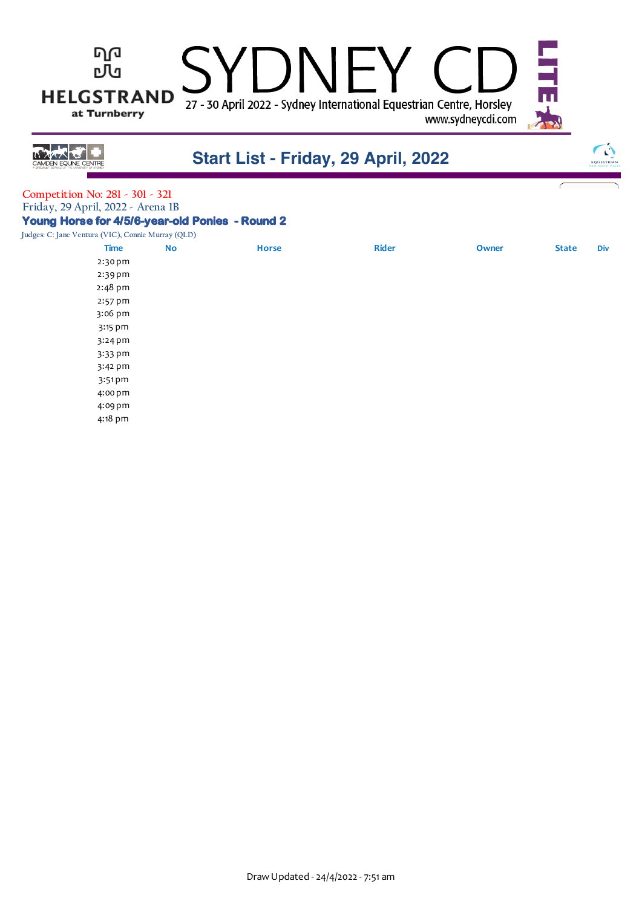



### **Start List - Friday, 29 April, 2022**



#### **Competition No: 281 - 301 - 321 Friday, 29 April, 2022 - Arena 1B Young Horse for 4/5/6-year-old Ponies - Round 2**

**Judges: C: Jane Ventura (VIC), Connie Murray (QLD)**

| $\chi$ ventura (vie), connectionally (QLD)<br><b>Time</b> | <b>No</b> | <b>Horse</b> | <b>Rider</b> | Owner | <b>State</b> | <b>Div</b> |
|-----------------------------------------------------------|-----------|--------------|--------------|-------|--------------|------------|
| 2:30 pm                                                   |           |              |              |       |              |            |
| 2:39 pm                                                   |           |              |              |       |              |            |
| 2:48 pm                                                   |           |              |              |       |              |            |
| 2:57 pm                                                   |           |              |              |       |              |            |
| 3:06 pm                                                   |           |              |              |       |              |            |
| 3:15 pm                                                   |           |              |              |       |              |            |
| $3:24$ pm                                                 |           |              |              |       |              |            |
| 3:33 pm                                                   |           |              |              |       |              |            |
| 3:42 pm                                                   |           |              |              |       |              |            |
| $3:51$ pm                                                 |           |              |              |       |              |            |
| 4:00 pm                                                   |           |              |              |       |              |            |
| 4:09 pm                                                   |           |              |              |       |              |            |
| 4:18 pm                                                   |           |              |              |       |              |            |
|                                                           |           |              |              |       |              |            |